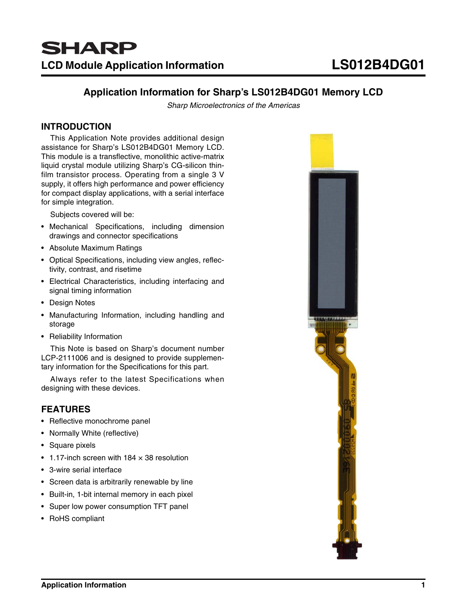# **Application Information for Sharp's LS012B4DG01 Memory LCD**

Sharp Microelectronics of the Americas

# **INTRODUCTION**

This Application Note provides additional design assistance for Sharp's LS012B4DG01 Memory LCD. This module is a transflective, monolithic active-matrix liquid crystal module utilizing Sharp's CG-silicon thinfilm transistor process. Operating from a single 3 V supply, it offers high performance and power efficiency for compact display applications, with a serial interface for simple integration.

Subjects covered will be:

- Mechanical Specifications, including dimension drawings and connector specifications
- Absolute Maximum Ratings
- Optical Specifications, including view angles, reflectivity, contrast, and risetime
- Electrical Characteristics, including interfacing and signal timing information
- Design Notes
- Manufacturing Information, including handling and storage
- Reliability Information

This Note is based on Sharp's document number LCP-2111006 and is designed to provide supplementary information for the Specifications for this part.

Always refer to the latest Specifications when designing with these devices.

# **FEATURES**

- Reflective monochrome panel
- Normally White (reflective)
- Square pixels
- 1.17-inch screen with  $184 \times 38$  resolution
- 3-wire serial interface
- Screen data is arbitrarily renewable by line
- Built-in, 1-bit internal memory in each pixel
- Super low power consumption TFT panel
- RoHS compliant

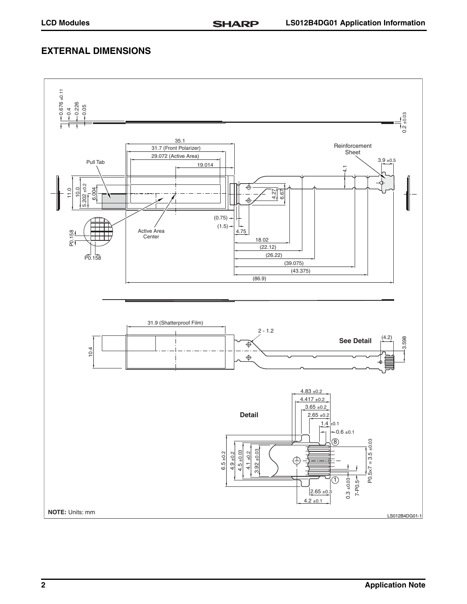# **EXTERNAL DIMENSIONS**

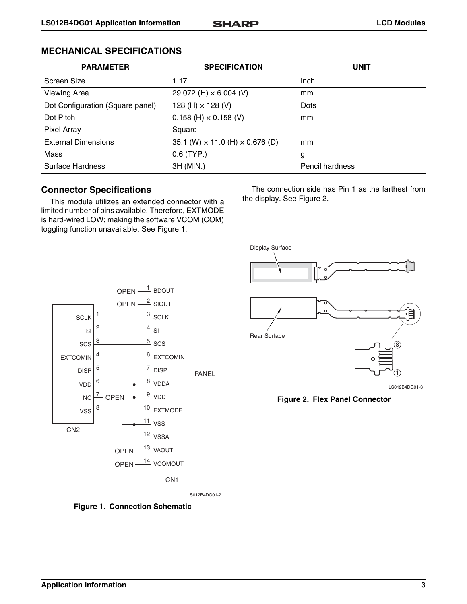| <b>PARAMETER</b>                 | <b>SPECIFICATION</b>                          | <b>UNIT</b>            |
|----------------------------------|-----------------------------------------------|------------------------|
| Screen Size                      | 1.17                                          | Inch                   |
| <b>Viewing Area</b>              | 29.072 (H) $\times$ 6.004 (V)                 | mm                     |
| Dot Configuration (Square panel) | 128 (H) $\times$ 128 (V)                      | <b>Dots</b>            |
| Dot Pitch                        | $0.158$ (H) $\times$ 0.158 (V)                | mm                     |
| Pixel Array                      | Square                                        |                        |
| <b>External Dimensions</b>       | 35.1 (W) $\times$ 11.0 (H) $\times$ 0.676 (D) | mm                     |
| Mass                             | $0.6$ (TYP.)                                  | g                      |
| <b>Surface Hardness</b>          | 3H (MIN.)                                     | <b>Pencil hardness</b> |

# **Connector Specifications**

This module utilizes an extended connector with a limited number of pins available. Therefore, EXTMODE is hard-wired LOW; making the software VCOM (COM) toggling function unavailable. See [Figure 1.](#page-2-0)



<span id="page-2-0"></span>**Figure 1. Connection Schematic**

The connection side has Pin 1 as the farthest from the display. See [Figure 2.](#page-2-1)



<span id="page-2-1"></span>**Figure 2. Flex Panel Connector**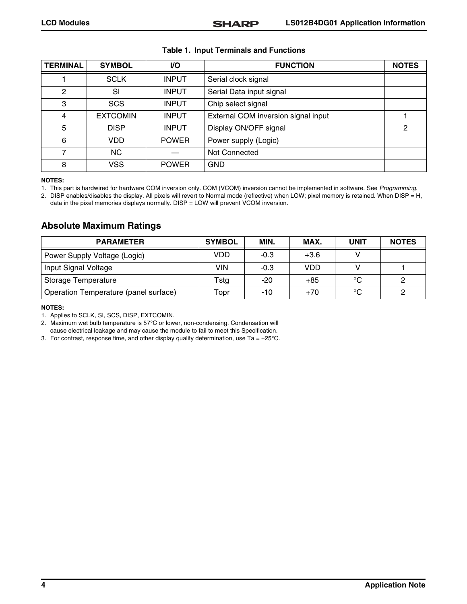| <b>TERMINAL</b> | <b>SYMBOL</b>   | I/O          | <b>FUNCTION</b>                     | <b>NOTES</b> |
|-----------------|-----------------|--------------|-------------------------------------|--------------|
|                 | <b>SCLK</b>     | <b>INPUT</b> | Serial clock signal                 |              |
| 2               | SI              | <b>INPUT</b> | Serial Data input signal            |              |
| 3               | <b>SCS</b>      | <b>INPUT</b> | Chip select signal                  |              |
| 4               | <b>EXTCOMIN</b> | <b>INPUT</b> | External COM inversion signal input |              |
| 5               | <b>DISP</b>     | <b>INPUT</b> | Display ON/OFF signal               | 2            |
| 6               | VDD             | <b>POWER</b> | Power supply (Logic)                |              |
| 7               | <b>NC</b>       |              | Not Connected                       |              |
| 8               | <b>VSS</b>      | <b>POWER</b> | GND                                 |              |

#### **Table 1. Input Terminals and Functions**

#### **NOTES:**

1. This part is hardwired for hardware COM inversion only. COM (VCOM) inversion cannot be implemented in software. See Programming.

2. DISP enables/disables the display. All pixels will revert to Normal mode (reflective) when LOW; pixel memory is retained. When DISP = H, data in the pixel memories displays normally. DISP = LOW will prevent VCOM inversion.

# **Absolute Maximum Ratings**

| <b>PARAMETER</b>                      | <b>SYMBOL</b> | MIN.   | MAX.       | <b>UNIT</b> | <b>NOTES</b> |
|---------------------------------------|---------------|--------|------------|-------------|--------------|
| Power Supply Voltage (Logic)          | VDD           | $-0.3$ | $+3.6$     |             |              |
| Input Signal Voltage                  | <b>VIN</b>    | $-0.3$ | <b>VDD</b> |             |              |
| Storage Temperature                   | Tstg          | $-20$  | $+85$      | $^{\circ}C$ |              |
| Operation Temperature (panel surface) | Topr          | $-10$  | $+70$      | °C          |              |

#### **NOTES:**

1. Applies to SCLK, SI, SCS, DISP, EXTCOMIN.

2. Maximum wet bulb temperature is 57°C or lower, non-condensing. Condensation will

cause electrical leakage and may cause the module to fail to meet this Specification.

3. For contrast, response time, and other display quality determination, use Ta =  $+25^{\circ}$ C.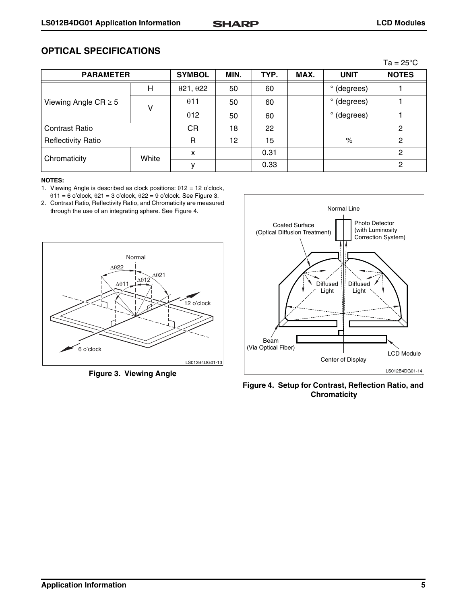# **OPTICAL SPECIFICATIONS**

|                           |       |               |      |      |      |                      | $Ta = 25^{\circ}C$ |
|---------------------------|-------|---------------|------|------|------|----------------------|--------------------|
| <b>PARAMETER</b>          |       | <b>SYMBOL</b> | MIN. | TYP. | MAX. | <b>UNIT</b>          | <b>NOTES</b>       |
| Viewing Angle $CR \geq 5$ | Н     | 021,022       | 50   | 60   |      | $\circ$<br>(degrees) |                    |
|                           | v     | $\theta$ 11   | 50   | 60   |      | (degrees)<br>o       |                    |
|                           |       | $\theta$ 12   | 50   | 60   |      | o<br>(degrees)       |                    |
| <b>Contrast Ratio</b>     |       | СR            | 18   | 22   |      |                      | 2                  |
| <b>Reflectivity Ratio</b> |       | R             | 12   | 15   |      | $\%$                 | 2                  |
| Chromaticity              | White | X             |      | 0.31 |      |                      | 2                  |
|                           |       |               |      | 0.33 |      |                      | 2                  |

### **NOTES:**

- 1. Viewing Angle is described as clock positions:  $\theta$ 12 = 12 o'clock,  $011 = 6$  o'clock,  $021 = 3$  o'clock,  $022 = 9$  o'clock. See [Figure 3.](#page-4-0)
- 2. Contrast Ratio, Reflectivity Ratio, and Chromaticity are measured through the use of an integrating sphere. See [Figure 4](#page-4-1).



<span id="page-4-0"></span>**Figure 3. Viewing Angle**



<span id="page-4-1"></span>**Figure 4. Setup for Contrast, Reflection Ratio, and Chromaticity**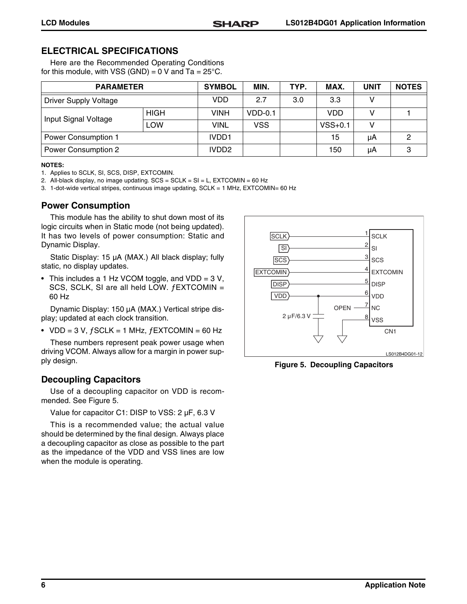# **ELECTRICAL SPECIFICATIONS**

Here are the Recommended Operating Conditions for this module, with VSS (GND) =  $0$  V and Ta =  $25^{\circ}$ C.

| <b>PARAMETER</b>             |             | <b>SYMBOL</b>     | MIN.       | TYP. | MAX.      | UNIT | <b>NOTES</b> |
|------------------------------|-------------|-------------------|------------|------|-----------|------|--------------|
| <b>Driver Supply Voltage</b> |             | <b>VDD</b>        | 2.7        | 3.0  | 3.3       |      |              |
| Input Signal Voltage         | <b>HIGH</b> | <b>VINH</b>       | $VDD-0.1$  |      | VDD       |      |              |
|                              | LOW         | <b>VINL</b>       | <b>VSS</b> |      | $VSS+0.1$ |      |              |
| <b>Power Consumption 1</b>   |             | IVDD1             |            |      | 15        | μA   |              |
| Power Consumption 2          |             | IVDD <sub>2</sub> |            |      | 150       | μA   |              |

#### **NOTES:**

- 1. Applies to SCLK, SI, SCS, DISP, EXTCOMIN.
- 2. All-black display, no image updating. SCS = SCLK = SI = L, EXTCOMIN = 60 Hz

3. 1-dot-wide vertical stripes, continuous image updating, SCLK = 1 MHz, EXTCOMIN= 60 Hz

# **Power Consumption**

This module has the ability to shut down most of its logic circuits when in Static mode (not being updated). It has two levels of power consumption: Static and Dynamic Display.

Static Display: 15 µA (MAX.) All black display; fully static, no display updates.

• This includes a 1 Hz VCOM toggle, and VDD = 3 V, SCS, SCLK, SI are all held LOW. ƒEXTCOMIN = 60 Hz

Dynamic Display: 150 µA (MAX.) Vertical stripe display; updated at each clock transition.

• VDD = 3 V,  $fSCLK = 1$  MHz,  $fEXTCOMIN = 60$  Hz

These numbers represent peak power usage when driving VCOM. Always allow for a margin in power supply design.

# **Decoupling Capacitors**

Use of a decoupling capacitor on VDD is recommended. See [Figure 5.](#page-5-0)

Value for capacitor C1: DISP to VSS: 2 µF, 6.3 V

This is a recommended value; the actual value should be determined by the final design. Always place a decoupling capacitor as close as possible to the part as the impedance of the VDD and VSS lines are low when the module is operating.



<span id="page-5-0"></span>**Figure 5. Decoupling Capacitors**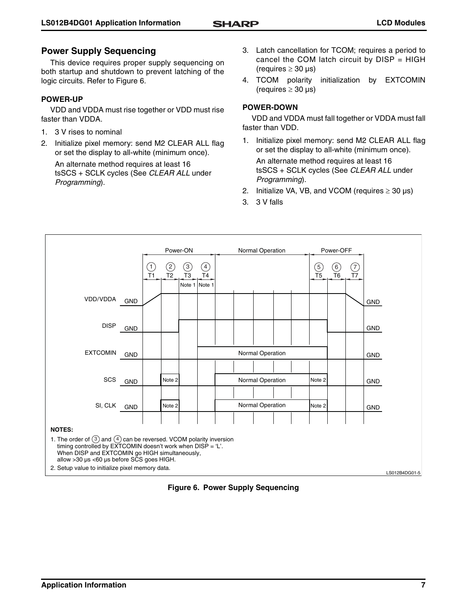# **Power Supply Sequencing**

This device requires proper supply sequencing on both startup and shutdown to prevent latching of the logic circuits. Refer to [Figure 6.](#page-6-0)

### **POWER-UP**

VDD and VDDA must rise together or VDD must rise faster than VDDA.

- 1. 3 V rises to nominal
- 2. Initialize pixel memory: send M2 CLEAR ALL flag or set the display to all-white (minimum once).

An alternate method requires at least 16 tsSCS + SCLK cycles (See CLEAR ALL under Programming).

- 3. Latch cancellation for TCOM; requires a period to cancel the COM latch circuit by  $DISP = HIGH$ (requires  $\geq 30 \text{ }\mu\text{s}$ )
- 4. TCOM polarity initialization by EXTCOMIN (requires  $\geq 30 \text{ }\mu\text{s}$ )

# **POWER-DOWN**

VDD and VDDA must fall together or VDDA must fall faster than VDD.

- 1. Initialize pixel memory: send M2 CLEAR ALL flag or set the display to all-white (minimum once). An alternate method requires at least 16 tsSCS + SCLK cycles (See CLEAR ALL under Programming).
- 2. Initialize VA, VB, and VCOM (requires  $\geq 30 \text{ }\mu\text{s}$ )
- 3. 3 V falls



<span id="page-6-0"></span>**Figure 6. Power Supply Sequencing**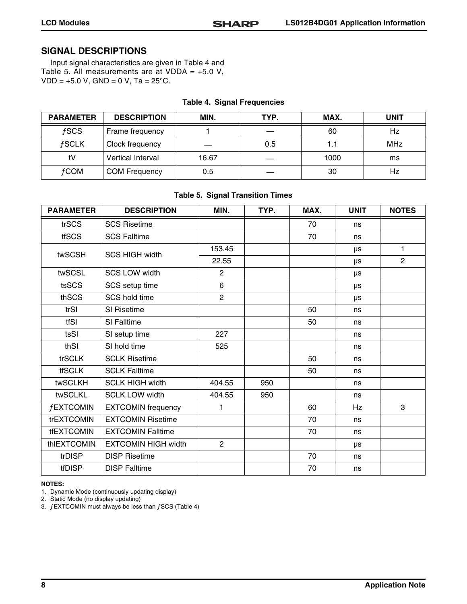# **SIGNAL DESCRIPTIONS**

Input signal characteristics are given in [Table 4](#page-7-0) and [Table 5.](#page-7-1) All measurements are at VDDA =  $+5.0$  V,  $VDD = +5.0 V$ , GND = 0 V, Ta = 25°C.

<span id="page-7-0"></span>

| <b>PARAMETER</b> | <b>DESCRIPTION</b>   | MIN.  | TYP. | MAX. | <b>UNIT</b> |
|------------------|----------------------|-------|------|------|-------------|
| fSCS             | Frame frequency      |       |      | 60   | Hz          |
| <b>fSCLK</b>     | Clock frequency      |       | 0.5  | 1.1  | <b>MHz</b>  |
| tV               | Vertical Interval    | 16.67 |      | 1000 | ms          |
| <b>fCOM</b>      | <b>COM Frequency</b> | 0.5   |      | 30   | Hz          |

### **Table 4. Signal Frequencies**

### **Table 5. Signal Transition Times**

<span id="page-7-1"></span>

| <b>PARAMETER</b>  | <b>DESCRIPTION</b>         | MIN.           | TYP. | MAX. | <b>UNIT</b> | <b>NOTES</b>   |
|-------------------|----------------------------|----------------|------|------|-------------|----------------|
| trSCS             | <b>SCS Risetime</b>        |                |      | 70   | ns          |                |
| <b>tfSCS</b>      | <b>SCS Falltime</b>        |                |      | 70   | ns          |                |
| twSCSH            | <b>SCS HIGH width</b>      | 153.45         |      |      | μs          | 1              |
|                   |                            | 22.55          |      |      | μs          | $\overline{2}$ |
| twSCSL            | <b>SCS LOW width</b>       | $\overline{2}$ |      |      | μs          |                |
| tsSCS             | SCS setup time             | 6              |      |      | μs          |                |
| thSCS             | <b>SCS hold time</b>       | $\overline{2}$ |      |      | μs          |                |
| trSI              | SI Risetime                |                |      | 50   | ns          |                |
| tfSI              | SI Falltime                |                |      | 50   | ns          |                |
| tsSI              | SI setup time              | 227            |      |      | ns          |                |
| thSI              | SI hold time               | 525            |      |      | ns          |                |
| trSCLK            | <b>SCLK Risetime</b>       |                |      | 50   | ns          |                |
| <b>tfSCLK</b>     | <b>SCLK Falltime</b>       |                |      | 50   | ns          |                |
| twSCLKH           | <b>SCLK HIGH width</b>     | 404.55         | 950  |      | ns          |                |
| twSCLKL           | <b>SCLK LOW width</b>      | 404.55         | 950  |      | ns          |                |
| <b>fEXTCOMIN</b>  | <b>EXTCOMIN</b> frequency  | 1              |      | 60   | Hz          | 3              |
| trEXTCOMIN        | <b>EXTCOMIN Risetime</b>   |                |      | 70   | ns          |                |
| <b>tfEXTCOMIN</b> | <b>EXTCOMIN Falltime</b>   |                |      | 70   | ns          |                |
| thIEXTCOMIN       | <b>EXTCOMIN HIGH width</b> | $\overline{2}$ |      |      | μs          |                |
| trDISP            | <b>DISP Risetime</b>       |                |      | 70   | ns          |                |
| <b>tfDISP</b>     | <b>DISP Falltime</b>       |                |      | 70   | ns          |                |

#### **NOTES:**

1. Dynamic Mode (continuously updating display)

2. Static Mode (no display updating)

3. ƒEXTCOMIN must always be less than ƒSCS [\(Table 4\)](#page-7-0)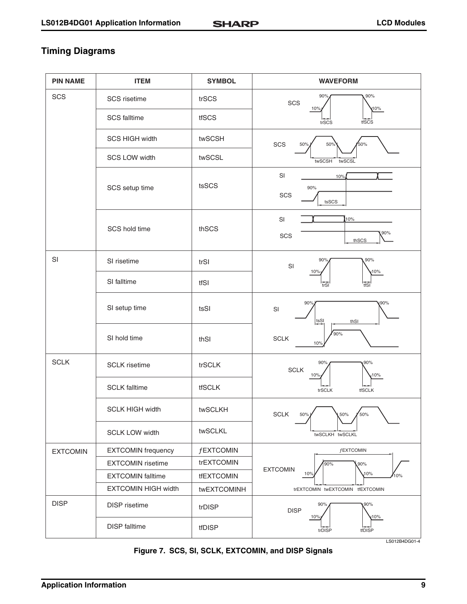# **Timing Diagrams**

| <b>PIN NAME</b> | <b>ITEM</b>                | <b>SYMBOL</b>    | <b>WAVEFORM</b>                                          |
|-----------------|----------------------------|------------------|----------------------------------------------------------|
| SCS             | SCS risetime               | trSCS            | 90%<br>90%<br>SCS                                        |
|                 | <b>SCS falltime</b>        | tfSCS            | 10%<br>10%<br>tfSCS<br>trSCS                             |
|                 | <b>SCS HIGH width</b>      | twSCSH           | SCS<br>50%<br>50%<br>50%                                 |
|                 | <b>SCS LOW width</b>       | twSCSL           | twSCSH<br>twSCSL                                         |
|                 | SCS setup time             | tsSCS            | SI<br>10%<br>90%<br>SCS<br>tsSCS                         |
|                 | SCS hold time              | thSCS            | SI<br>10%<br>90%<br>SCS<br>thSCS                         |
| SI              | SI risetime                | trSI             | 90%<br>90°<br>SI<br>10%<br>10%                           |
|                 | SI falltime                | tfSI             | tfSI<br>trSI                                             |
|                 | SI setup time              | tsSI             | 90%<br>90%<br>SI<br>tsSI<br>thSI                         |
|                 | SI hold time               | thSI             | 90%<br><b>SCLK</b><br>10%                                |
| <b>SCLK</b>     | <b>SCLK</b> risetime       | trSCLK           | 90%<br>90%<br>$\ensuremath{\mathsf{SCLK}}$<br>10%<br>10% |
|                 | <b>SCLK</b> falltime       | tfSCLK           | <b>tfSCLK</b><br>trSCLK                                  |
|                 | <b>SCLK HIGH width</b>     | twSCLKH          | <b>SCLK</b><br>50%<br>50%<br>50%                         |
|                 | <b>SCLK LOW width</b>      | twSCLKL          | twSCLKH twSCLKL                                          |
| <b>EXTCOMIN</b> | <b>EXTCOMIN</b> frequency  | <b>fEXTCOMIN</b> | <b>fEXTCOMIN</b>                                         |
|                 | <b>EXTCOMIN</b> risetime   | trEXTCOMIN       | 90%<br>,90%<br><b>EXTCOMIN</b>                           |
|                 | <b>EXTCOMIN falltime</b>   | tfEXTCOMIN       | 10%<br>10%<br>10%                                        |
|                 | <b>EXTCOMIN HIGH width</b> | twEXTCOMINH      | trEXTCOMIN twEXTCOMIN tfEXTCOMIN                         |
| <b>DISP</b>     | <b>DISP</b> risetime       | trDISP           | 90%<br>90%<br><b>DISP</b><br>10%<br>10%                  |
|                 | <b>DISP</b> falltime       | tfDISP           | tfDISP<br>trDISP<br>LS012B4DG01-4                        |

**Figure 7. SCS, SI, SCLK, EXTCOMIN, and DISP Signals**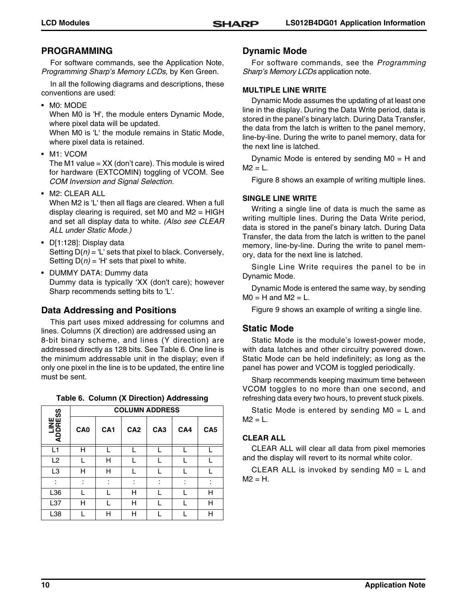# **PROGRAMMING**

For software commands, see the Application Note, Programming Sharp's Memory LCDs, by Ken Green.

In all the following diagrams and descriptions, these conventions are used:

• M0: MODE

When M0 is 'H', the module enters Dynamic Mode, where pixel data will be updated.

When M0 is 'L' the module remains in Static Mode, where pixel data is retained.

• M1: VCOM

The M1 value  $=$  XX (don't care). This module is wired for hardware (EXTCOMIN) toggling of VCOM. See COM Inversion and Signal Selection.

• M2: CLEAR ALL

When M2 is 'L' then all flags are cleared. When a full display clearing is required, set M0 and  $M2 = HIGH$ and set all display data to white. (Also see CLEAR ALL under Static Mode.)

- D[1:128]: Display data Setting  $D(n) = 'L'$  sets that pixel to black. Conversely, Setting  $D(n) = 'H'$  sets that pixel to white.
- DUMMY DATA: Dummy data Dummy data is typically 'XX (don't care); however Sharp recommends setting bits to 'L'.

# **Data Addressing and Positions**

This part uses mixed addressing for columns and lines. Columns (X direction) are addressed using an 8-bit binary scheme, and lines (Y direction) are addressed directly as 128 bits. See [Table 6.](#page-9-0) One line is the minimum addressable unit in the display; even if only one pixel in the line is to be updated, the entire line must be sent.

|  |  |  |  | Table 6. Column (X Direction) Addressing |
|--|--|--|--|------------------------------------------|
|--|--|--|--|------------------------------------------|

<span id="page-9-0"></span>

| SS               | <b>COLUMN ADDRESS</b> |                 |                 |                 |     |                 |  |  |  |
|------------------|-----------------------|-----------------|-----------------|-----------------|-----|-----------------|--|--|--|
| ADDRES<br>ADDRES | CA <sub>0</sub>       | CA <sub>1</sub> | CA <sub>2</sub> | CA <sub>3</sub> | CA4 | CA <sub>5</sub> |  |  |  |
| L1               | Н                     |                 |                 |                 |     |                 |  |  |  |
| L <sub>2</sub>   |                       | н               |                 |                 |     |                 |  |  |  |
| L3               | н                     | н               |                 |                 |     |                 |  |  |  |
|                  |                       | ٠               |                 |                 | ٠   |                 |  |  |  |
| L36              |                       |                 | н               |                 |     | н               |  |  |  |
| L37              | н                     |                 | н               |                 |     | н               |  |  |  |
| L38              |                       | н               | н               |                 |     | н               |  |  |  |

# **Dynamic Mode**

For software commands, see the Programming Sharp's Memory LCDs application note.

### **MULTIPLE LINE WRITE**

Dynamic Mode assumes the updating of at least one line in the display. During the Data Write period, data is stored in the panel's binary latch. During Data Transfer, the data from the latch is written to the panel memory, line-by-line. During the write to panel memory, data for the next line is latched.

Dynamic Mode is entered by sending  $MO = H$  and  $M2 = L$ .

[Figure 8](#page-10-0) shows an example of writing multiple lines.

# **SINGLE LINE WRITE**

Writing a single line of data is much the same as writing multiple lines. During the Data Write period, data is stored in the panel's binary latch. During Data Transfer, the data from the latch is written to the panel memory, line-by-line. During the write to panel memory, data for the next line is latched.

Single Line Write requires the panel to be in Dynamic Mode.

Dynamic Mode is entered the same way, by sending  $MO = H$  and  $M2 = L$ .

[Figure 9](#page-10-1) shows an example of writing a single line.

# **Static Mode**

Static Mode is the module's lowest-power mode, with data latches and other circuitry powered down. Static Mode can be held indefinitely; as long as the panel has power and VCOM is toggled periodically.

Sharp recommends keeping maximum time between VCOM toggles to no more than one second, and refreshing data every two hours, to prevent stuck pixels.

Static Mode is entered by sending M0 = L and  $M2 = L$ .

# **CLEAR ALL**

CLEAR ALL will clear all data from pixel memories and the display will revert to its normal white color.

CLEAR ALL is invoked by sending M0 = L and  $M2 = H$ .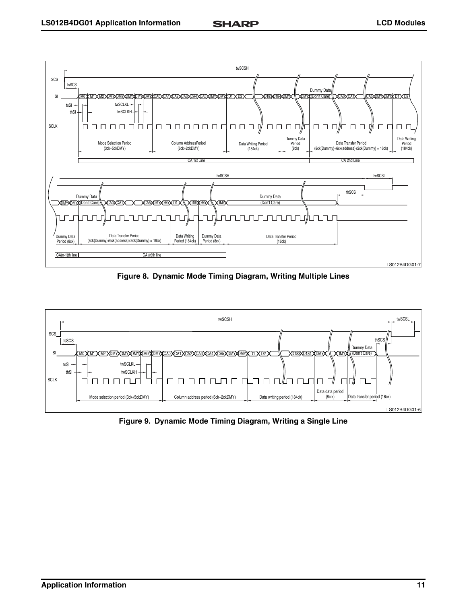

**Figure 8. Dynamic Mode Timing Diagram, Writing Multiple Lines**

<span id="page-10-0"></span>

<span id="page-10-1"></span>**Figure 9. Dynamic Mode Timing Diagram, Writing a Single Line**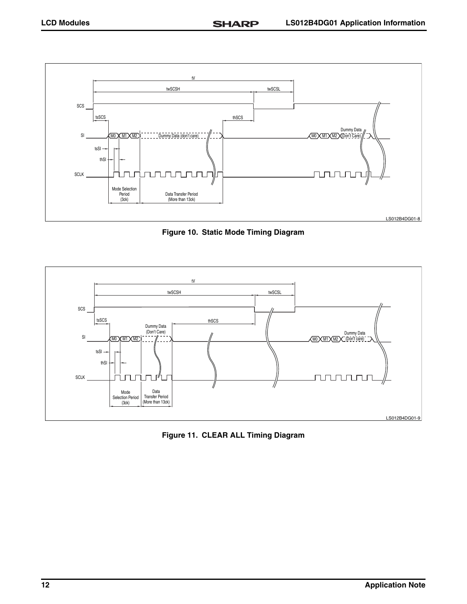SCLK

tsSI thSI

Mode Selection Period (3ck)

ז ר

JTUTU

Data Transfer Period (More than 13ck)

-F Е



**Figure 10. Static Mode Timing Diagram**



**Figure 11. CLEAR ALL Timing Diagram**

LS012B4DG01-8

nnunu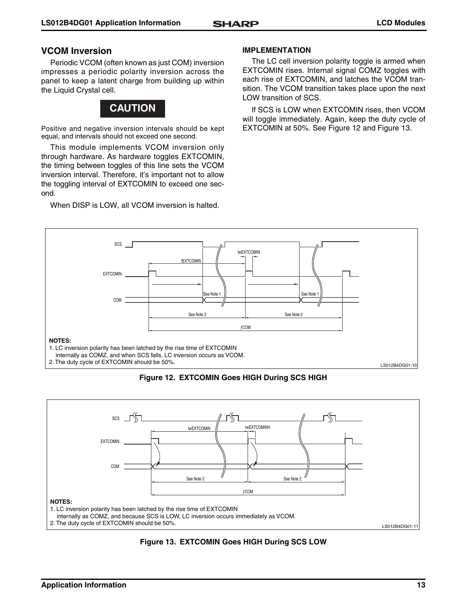# **VCOM Inversion**

Periodic VCOM (often known as just COM) inversion impresses a periodic polarity inversion across the panel to keep a latent charge from building up within the Liquid Crystal cell.



Positive and negative inversion intervals should be kept equal, and intervals should not exceed one second.

This module implements VCOM inversion only through hardware. As hardware toggles EXTCOMIN, the timing between toggles of this line sets the VCOM inversion interval. Therefore, it's important not to allow the toggling interval of EXTCOMIN to exceed one second.

When DISP is LOW, all VCOM inversion is halted.

### **IMPLEMENTATION**

The LC cell inversion polarity toggle is armed when EXTCOMIN rises. Internal signal COMZ toggles with each rise of EXTCOMIN, and latches the VCOM transition. The VCOM transition takes place upon the next LOW transition of SCS.

If SCS is LOW when EXTCOMIN rises, then VCOM will toggle immediately. Again, keep the duty cycle of EXTCOMIN at 50%. See [Figure 12](#page-12-0) and [Figure 13](#page-12-1).



**Figure 12. EXTCOMIN Goes HIGH During SCS HIGH**

<span id="page-12-0"></span>

<span id="page-12-1"></span>**Figure 13. EXTCOMIN Goes HIGH During SCS LOW**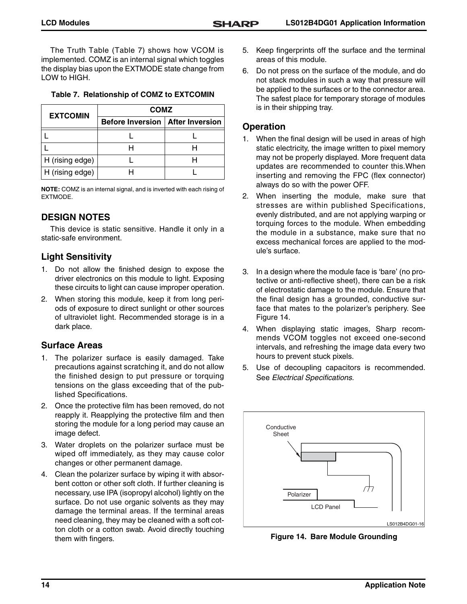The Truth Table ([Table 7\)](#page-13-1) shows how VCOM is implemented. COMZ is an internal signal which toggles the display bias upon the EXTMODE state change from LOW to HIGH.

<span id="page-13-1"></span>

| <b>EXTCOMIN</b> | <b>COMZ</b>                               |  |
|-----------------|-------------------------------------------|--|
|                 | <b>Before Inversion   After Inversion</b> |  |
|                 |                                           |  |
|                 |                                           |  |
| H (rising edge) |                                           |  |
| H (rising edge) |                                           |  |

**NOTE:** COMZ is an internal signal, and is inverted with each rising of EXTMODE.

# **DESIGN NOTES**

This device is static sensitive. Handle it only in a static-safe environment.

# **Light Sensitivity**

- 1. Do not allow the finished design to expose the driver electronics on this module to light. Exposing these circuits to light can cause improper operation.
- 2. When storing this module, keep it from long periods of exposure to direct sunlight or other sources of ultraviolet light. Recommended storage is in a dark place.

# **Surface Areas**

- 1. The polarizer surface is easily damaged. Take precautions against scratching it, and do not allow the finished design to put pressure or torquing tensions on the glass exceeding that of the published Specifications.
- 2. Once the protective film has been removed, do not reapply it. Reapplying the protective film and then storing the module for a long period may cause an image defect.
- 3. Water droplets on the polarizer surface must be wiped off immediately, as they may cause color changes or other permanent damage.
- 4. Clean the polarizer surface by wiping it with absorbent cotton or other soft cloth. If further cleaning is necessary, use IPA (isopropyl alcohol) lightly on the surface. Do not use organic solvents as they may damage the terminal areas. If the terminal areas need cleaning, they may be cleaned with a soft cotton cloth or a cotton swab. Avoid directly touching them with fingers.
- 5. Keep fingerprints off the surface and the terminal areas of this module.
- 6. Do not press on the surface of the module, and do not stack modules in such a way that pressure will be applied to the surfaces or to the connector area. The safest place for temporary storage of modules is in their shipping tray.

# **Operation**

- 1. When the final design will be used in areas of high static electricity, the image written to pixel memory may not be properly displayed. More frequent data updates are recommended to counter this.When inserting and removing the FPC (flex connector) always do so with the power OFF.
- 2. When inserting the module, make sure that stresses are within published Specifications, evenly distributed, and are not applying warping or torquing forces to the module. When embedding the module in a substance, make sure that no excess mechanical forces are applied to the module's surface.
- 3. In a design where the module face is 'bare' (no protective or anti-reflective sheet), there can be a risk of electrostatic damage to the module. Ensure that the final design has a grounded, conductive surface that mates to the polarizer's periphery. See [Figure 14](#page-13-0).
- 4. When displaying static images, Sharp recommends VCOM toggles not exceed one-second intervals, and refreshing the image data every two hours to prevent stuck pixels.
- 5. Use of decoupling capacitors is recommended. See Electrical Specifications.



<span id="page-13-0"></span>**Figure 14. Bare Module Grounding**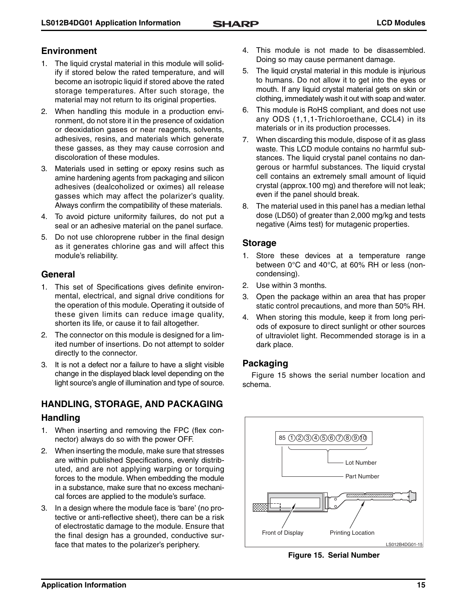# **Environment**

- 1. The liquid crystal material in this module will solidify if stored below the rated temperature, and will become an isotropic liquid if stored above the rated storage temperatures. After such storage, the material may not return to its original properties.
- 2. When handling this module in a production environment, do not store it in the presence of oxidation or deoxidation gases or near reagents, solvents, adhesives, resins, and materials which generate these gasses, as they may cause corrosion and discoloration of these modules.
- 3. Materials used in setting or epoxy resins such as amine hardening agents from packaging and silicon adhesives (dealcoholized or oximes) all release gasses which may affect the polarizer's quality. Always confirm the compatibility of these materials.
- 4. To avoid picture uniformity failures, do not put a seal or an adhesive material on the panel surface.
- 5. Do not use chloroprene rubber in the final design as it generates chlorine gas and will affect this module's reliability.

# **General**

- 1. This set of Specifications gives definite environmental, electrical, and signal drive conditions for the operation of this module. Operating it outside of these given limits can reduce image quality, shorten its life, or cause it to fail altogether.
- 2. The connector on this module is designed for a limited number of insertions. Do not attempt to solder directly to the connector.
- 3. It is not a defect nor a failure to have a slight visible change in the displayed black level depending on the light source's angle of illumination and type of source.

# **HANDLING, STORAGE, AND PACKAGING**

# **Handling**

- 1. When inserting and removing the FPC (flex connector) always do so with the power OFF.
- 2. When inserting the module, make sure that stresses are within published Specifications, evenly distributed, and are not applying warping or torquing forces to the module. When embedding the module in a substance, make sure that no excess mechanical forces are applied to the module's surface.
- 3. In a design where the module face is 'bare' (no protective or anti-reflective sheet), there can be a risk of electrostatic damage to the module. Ensure that the final design has a grounded, conductive surface that mates to the polarizer's periphery.
- 4. This module is not made to be disassembled. Doing so may cause permanent damage.
- 5. The liquid crystal material in this module is injurious to humans. Do not allow it to get into the eyes or mouth. If any liquid crystal material gets on skin or clothing, immediately wash it out with soap and water.
- 6. This module is RoHS compliant, and does not use any ODS (1,1,1-Trichloroethane, CCL4) in its materials or in its production processes.
- 7. When discarding this module, dispose of it as glass waste. This LCD module contains no harmful substances. The liquid crystal panel contains no dangerous or harmful substances. The liquid crystal cell contains an extremely small amount of liquid crystal (approx.100 mg) and therefore will not leak; even if the panel should break.
- 8. The material used in this panel has a median lethal dose (LD50) of greater than 2,000 mg/kg and tests negative (Aims test) for mutagenic properties.

# **Storage**

- 1. Store these devices at a temperature range between 0°C and 40°C, at 60% RH or less (noncondensing).
- 2. Use within 3 months.
- 3. Open the package within an area that has proper static control precautions, and more than 50% RH.
- 4. When storing this module, keep it from long periods of exposure to direct sunlight or other sources of ultraviolet light. Recommended storage is in a dark place.

# **Packaging**

[Figure 15](#page-14-0) shows the serial number location and schema.



<span id="page-14-0"></span>**Figure 15. Serial Number**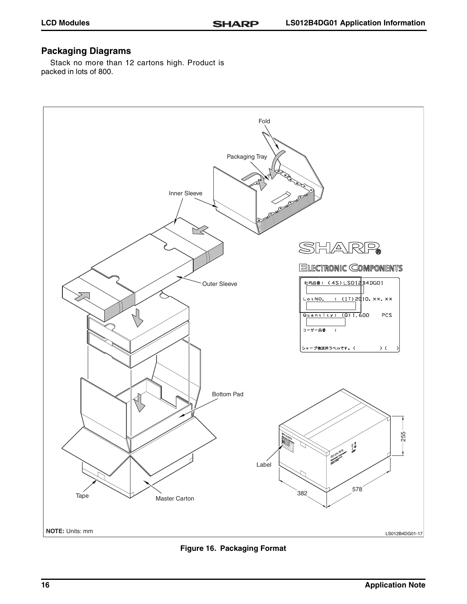# **Packaging Diagrams**

Stack no more than 12 cartons high. Product is packed in lots of 800.



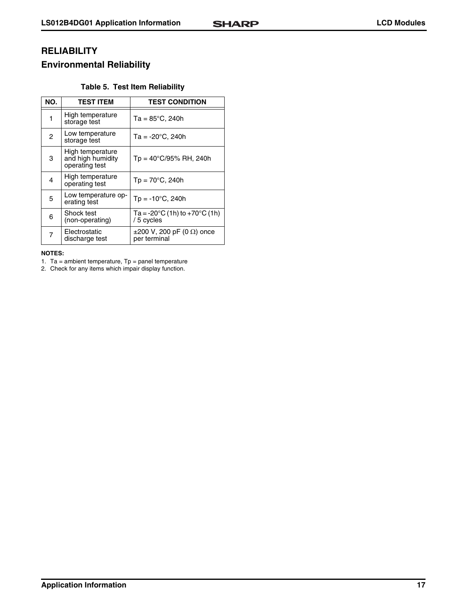# **RELIABILITY**

# **Environmental Reliability**

# **Table 5. Test Item Reliability**

| NO.            | <b>TEST ITEM</b>                                        | <b>TEST CONDITION</b>                                          |
|----------------|---------------------------------------------------------|----------------------------------------------------------------|
| 1              | High temperature<br>storage test                        | $Ta = 85^{\circ}C$ , 240h                                      |
| $\overline{2}$ | Low temperature<br>storage test                         | $Ta = -20^{\circ}C$ , 240h                                     |
| 3              | High temperature<br>and high humidity<br>operating test | $Tp = 40^{\circ}C/95\% \text{ RH}, 240h$                       |
| 4              | High temperature<br>operating test                      | $Tp = 70^{\circ}C$ , 240h                                      |
| 5              | Low temperature op-<br>erating test                     | $Tp = -10^{\circ}C$ , 240h                                     |
| 6              | Shock test<br>(non-operating)                           | Ta = -20 $\degree$ C (1h) to +70 $\degree$ C (1h)<br>/5 cycles |
| 7              | Electrostatic<br>discharge test                         | $\pm 200$ V, 200 pF (0 $\Omega$ ) once<br>per terminal         |

#### **NOTES:**

1. Ta = ambient temperature,  $Tp =$  panel temperature

2. Check for any items which impair display function.